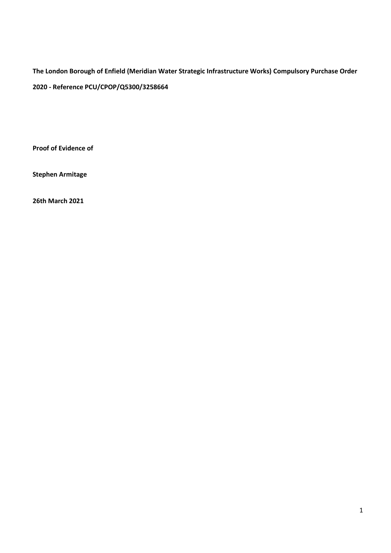The London Borough of Enfield (Meridian Water Strategic Infrastructure Works) Compulsory Purchase Order 2020 - Reference PCU/CPOP/Q5300/3258664

Proof of Evidence of

Stephen Armitage

26th March 2021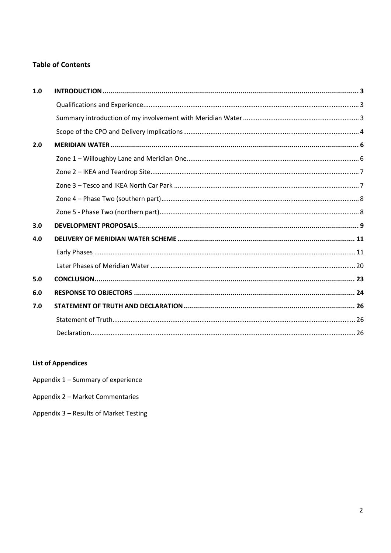# **Table of Contents**

| 1.0 |  |
|-----|--|
|     |  |
|     |  |
|     |  |
| 2.0 |  |
|     |  |
|     |  |
|     |  |
|     |  |
|     |  |
| 3.0 |  |
| 4.0 |  |
|     |  |
|     |  |
| 5.0 |  |
| 6.0 |  |
| 7.0 |  |
|     |  |
|     |  |

# **List of Appendices**

Appendix 1 - Summary of experience

- Appendix 2 Market Commentaries
- Appendix 3 Results of Market Testing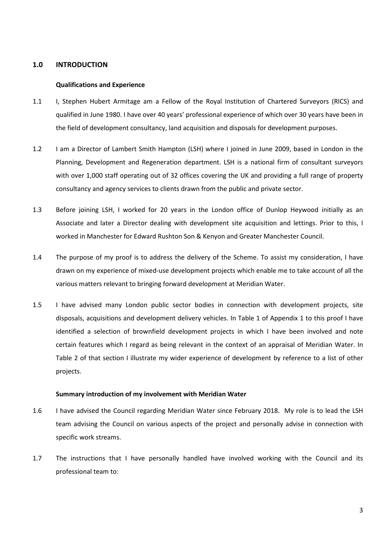## 1.0 INTRODUCTION

### Qualifications and Experience

- 1.1 I, Stephen Hubert Armitage am a Fellow of the Royal Institution of Chartered Surveyors (RICS) and qualified in June 1980. I have over 40 years' professional experience of which over 30 years have been in the field of development consultancy, land acquisition and disposals for development purposes.
- 1.2 I am a Director of Lambert Smith Hampton (LSH) where I joined in June 2009, based in London in the Planning, Development and Regeneration department. LSH is a national firm of consultant surveyors with over 1,000 staff operating out of 32 offices covering the UK and providing a full range of property consultancy and agency services to clients drawn from the public and private sector.
- 1.3 Before joining LSH, I worked for 20 years in the London office of Dunlop Heywood initially as an Associate and later a Director dealing with development site acquisition and lettings. Prior to this, I worked in Manchester for Edward Rushton Son & Kenyon and Greater Manchester Council.
- 1.4 The purpose of my proof is to address the delivery of the Scheme. To assist my consideration, I have drawn on my experience of mixed-use development projects which enable me to take account of all the various matters relevant to bringing forward development at Meridian Water.
- 1.5 I have advised many London public sector bodies in connection with development projects, site disposals, acquisitions and development delivery vehicles. In Table 1 of Appendix 1 to this proof I have identified a selection of brownfield development projects in which I have been involved and note certain features which I regard as being relevant in the context of an appraisal of Meridian Water. In Table 2 of that section I illustrate my wider experience of development by reference to a list of other projects.

#### Summary introduction of my involvement with Meridian Water

- 1.6 I have advised the Council regarding Meridian Water since February 2018. My role is to lead the LSH team advising the Council on various aspects of the project and personally advise in connection with specific work streams.
- 1.7 The instructions that I have personally handled have involved working with the Council and its professional team to: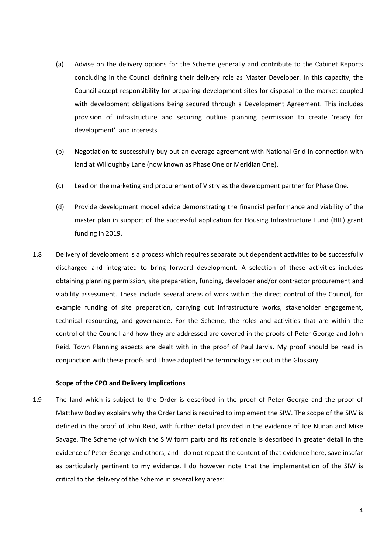- (a) Advise on the delivery options for the Scheme generally and contribute to the Cabinet Reports concluding in the Council defining their delivery role as Master Developer. In this capacity, the Council accept responsibility for preparing development sites for disposal to the market coupled with development obligations being secured through a Development Agreement. This includes provision of infrastructure and securing outline planning permission to create 'ready for development' land interests.
- (b) Negotiation to successfully buy out an overage agreement with National Grid in connection with land at Willoughby Lane (now known as Phase One or Meridian One).
- (c) Lead on the marketing and procurement of Vistry as the development partner for Phase One.
- (d) Provide development model advice demonstrating the financial performance and viability of the master plan in support of the successful application for Housing Infrastructure Fund (HIF) grant funding in 2019.
- 1.8 Delivery of development is a process which requires separate but dependent activities to be successfully discharged and integrated to bring forward development. A selection of these activities includes obtaining planning permission, site preparation, funding, developer and/or contractor procurement and viability assessment. These include several areas of work within the direct control of the Council, for example funding of site preparation, carrying out infrastructure works, stakeholder engagement, technical resourcing, and governance. For the Scheme, the roles and activities that are within the control of the Council and how they are addressed are covered in the proofs of Peter George and John Reid. Town Planning aspects are dealt with in the proof of Paul Jarvis. My proof should be read in conjunction with these proofs and I have adopted the terminology set out in the Glossary.

#### Scope of the CPO and Delivery Implications

1.9 The land which is subject to the Order is described in the proof of Peter George and the proof of Matthew Bodley explains why the Order Land is required to implement the SIW. The scope of the SIW is defined in the proof of John Reid, with further detail provided in the evidence of Joe Nunan and Mike Savage. The Scheme (of which the SIW form part) and its rationale is described in greater detail in the evidence of Peter George and others, and I do not repeat the content of that evidence here, save insofar as particularly pertinent to my evidence. I do however note that the implementation of the SIW is critical to the delivery of the Scheme in several key areas: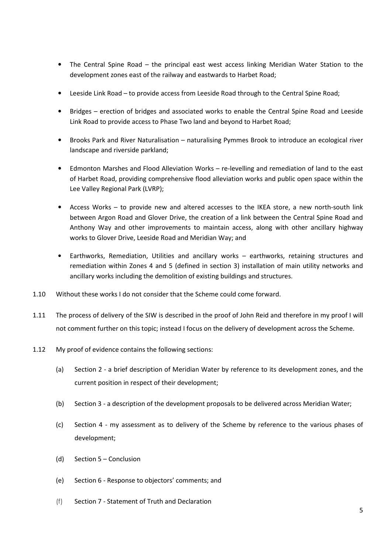- The Central Spine Road the principal east west access linking Meridian Water Station to the development zones east of the railway and eastwards to Harbet Road;
- Leeside Link Road to provide access from Leeside Road through to the Central Spine Road;
- Bridges erection of bridges and associated works to enable the Central Spine Road and Leeside Link Road to provide access to Phase Two land and beyond to Harbet Road;
- Brooks Park and River Naturalisation naturalising Pymmes Brook to introduce an ecological river landscape and riverside parkland;
- Edmonton Marshes and Flood Alleviation Works re-levelling and remediation of land to the east of Harbet Road, providing comprehensive flood alleviation works and public open space within the Lee Valley Regional Park (LVRP);
- Access Works to provide new and altered accesses to the IKEA store, a new north-south link between Argon Road and Glover Drive, the creation of a link between the Central Spine Road and Anthony Way and other improvements to maintain access, along with other ancillary highway works to Glover Drive, Leeside Road and Meridian Way; and
- Earthworks, Remediation, Utilities and ancillary works earthworks, retaining structures and remediation within Zones 4 and 5 (defined in section 3) installation of main utility networks and ancillary works including the demolition of existing buildings and structures.
- 1.10 Without these works I do not consider that the Scheme could come forward.
- 1.11 The process of delivery of the SIW is described in the proof of John Reid and therefore in my proof I will not comment further on this topic; instead I focus on the delivery of development across the Scheme.
- 1.12 My proof of evidence contains the following sections:
	- (a) Section 2 a brief description of Meridian Water by reference to its development zones, and the current position in respect of their development;
	- (b) Section 3 a description of the development proposals to be delivered across Meridian Water;
	- (c) Section 4 my assessment as to delivery of the Scheme by reference to the various phases of development;
	- (d) Section 5 Conclusion
	- (e) Section 6 Response to objectors' comments; and
	- (f) Section 7 Statement of Truth and Declaration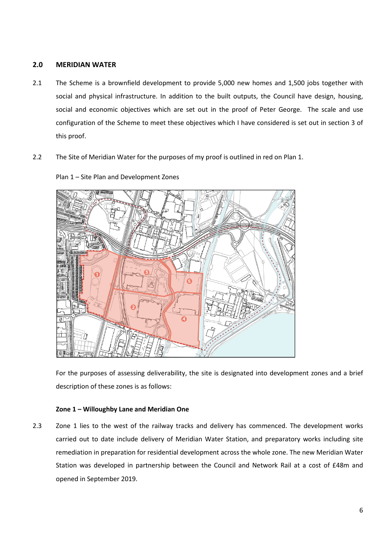## 2.0 MERIDIAN WATER

- 2.1 The Scheme is a brownfield development to provide 5,000 new homes and 1,500 jobs together with social and physical infrastructure. In addition to the built outputs, the Council have design, housing, social and economic objectives which are set out in the proof of Peter George. The scale and use configuration of the Scheme to meet these objectives which I have considered is set out in section 3 of this proof.
- 2.2 The Site of Meridian Water for the purposes of my proof is outlined in red on Plan 1.



Plan 1 – Site Plan and Development Zones

For the purposes of assessing deliverability, the site is designated into development zones and a brief description of these zones is as follows:

## Zone 1 – Willoughby Lane and Meridian One

2.3 Zone 1 lies to the west of the railway tracks and delivery has commenced. The development works carried out to date include delivery of Meridian Water Station, and preparatory works including site remediation in preparation for residential development across the whole zone. The new Meridian Water Station was developed in partnership between the Council and Network Rail at a cost of £48m and opened in September 2019.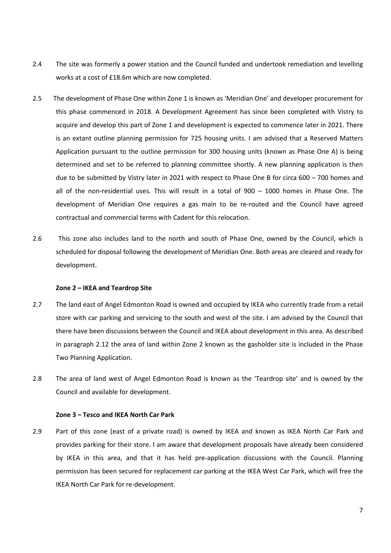- 2.4 The site was formerly a power station and the Council funded and undertook remediation and levelling works at a cost of £18.6m which are now completed.
- 2.5 The development of Phase One within Zone 1 is known as 'Meridian One' and developer procurement for this phase commenced in 2018. A Development Agreement has since been completed with Vistry to acquire and develop this part of Zone 1 and development is expected to commence later in 2021. There is an extant outline planning permission for 725 housing units. I am advised that a Reserved Matters Application pursuant to the outline permission for 300 housing units (known as Phase One A) is being determined and set to be referred to planning committee shortly. A new planning application is then due to be submitted by Vistry later in 2021 with respect to Phase One B for circa 600 – 700 homes and all of the non-residential uses. This will result in a total of 900 – 1000 homes in Phase One. The development of Meridian One requires a gas main to be re-routed and the Council have agreed contractual and commercial terms with Cadent for this relocation.
- 2.6 This zone also includes land to the north and south of Phase One, owned by the Council, which is scheduled for disposal following the development of Meridian One. Both areas are cleared and ready for development.

#### Zone 2 – IKEA and Teardrop Site

- 2.7 The land east of Angel Edmonton Road is owned and occupied by IKEA who currently trade from a retail store with car parking and servicing to the south and west of the site. I am advised by the Council that there have been discussions between the Council and IKEA about development in this area. As described in paragraph 2.12 the area of land within Zone 2 known as the gasholder site is included in the Phase Two Planning Application.
- 2.8 The area of land west of Angel Edmonton Road is known as the 'Teardrop site' and is owned by the Council and available for development.

#### Zone 3 – Tesco and IKEA North Car Park

2.9 Part of this zone (east of a private road) is owned by IKEA and known as IKEA North Car Park and provides parking for their store. I am aware that development proposals have already been considered by IKEA in this area, and that it has held pre-application discussions with the Council. Planning permission has been secured for replacement car parking at the IKEA West Car Park, which will free the IKEA North Car Park for re-development.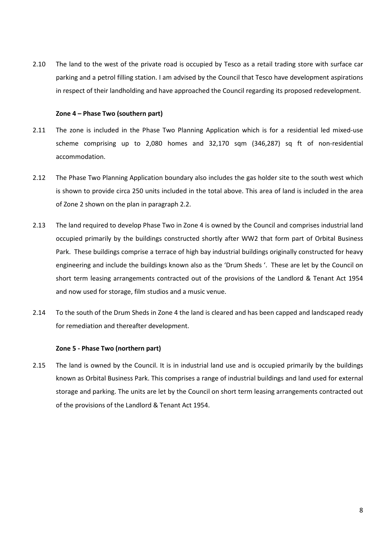2.10 The land to the west of the private road is occupied by Tesco as a retail trading store with surface car parking and a petrol filling station. I am advised by the Council that Tesco have development aspirations in respect of their landholding and have approached the Council regarding its proposed redevelopment.

### Zone 4 – Phase Two (southern part)

- 2.11 The zone is included in the Phase Two Planning Application which is for a residential led mixed-use scheme comprising up to 2,080 homes and 32,170 sqm (346,287) sq ft of non-residential accommodation.
- 2.12 The Phase Two Planning Application boundary also includes the gas holder site to the south west which is shown to provide circa 250 units included in the total above. This area of land is included in the area of Zone 2 shown on the plan in paragraph 2.2.
- 2.13 The land required to develop Phase Two in Zone 4 is owned by the Council and comprises industrial land occupied primarily by the buildings constructed shortly after WW2 that form part of Orbital Business Park. These buildings comprise a terrace of high bay industrial buildings originally constructed for heavy engineering and include the buildings known also as the 'Drum Sheds '. These are let by the Council on short term leasing arrangements contracted out of the provisions of the Landlord & Tenant Act 1954 and now used for storage, film studios and a music venue.
- 2.14 To the south of the Drum Sheds in Zone 4 the land is cleared and has been capped and landscaped ready for remediation and thereafter development.

## Zone 5 - Phase Two (northern part)

2.15 The land is owned by the Council. It is in industrial land use and is occupied primarily by the buildings known as Orbital Business Park. This comprises a range of industrial buildings and land used for external storage and parking. The units are let by the Council on short term leasing arrangements contracted out of the provisions of the Landlord & Tenant Act 1954.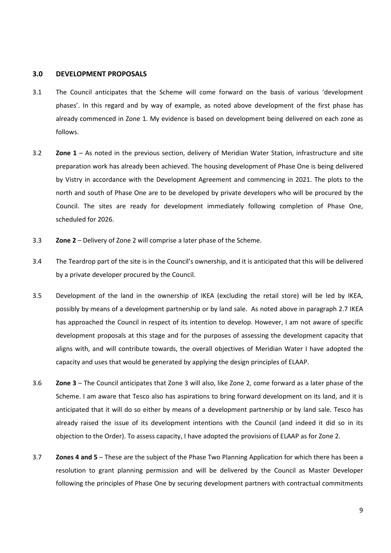### 3.0 DEVELOPMENT PROPOSALS

- 3.1 The Council anticipates that the Scheme will come forward on the basis of various 'development phases'. In this regard and by way of example, as noted above development of the first phase has already commenced in Zone 1. My evidence is based on development being delivered on each zone as follows.
- 3.2 Zone 1 As noted in the previous section, delivery of Meridian Water Station, infrastructure and site preparation work has already been achieved. The housing development of Phase One is being delivered by Vistry in accordance with the Development Agreement and commencing in 2021. The plots to the north and south of Phase One are to be developed by private developers who will be procured by the Council. The sites are ready for development immediately following completion of Phase One, scheduled for 2026.
- 3.3 Zone 2 Delivery of Zone 2 will comprise a later phase of the Scheme.
- 3.4 The Teardrop part of the site is in the Council's ownership, and it is anticipated that this will be delivered by a private developer procured by the Council.
- 3.5 Development of the land in the ownership of IKEA (excluding the retail store) will be led by IKEA, possibly by means of a development partnership or by land sale. As noted above in paragraph 2.7 IKEA has approached the Council in respect of its intention to develop. However, I am not aware of specific development proposals at this stage and for the purposes of assessing the development capacity that aligns with, and will contribute towards, the overall objectives of Meridian Water I have adopted the capacity and uses that would be generated by applying the design principles of ELAAP.
- 3.6 Zone 3 The Council anticipates that Zone 3 will also, like Zone 2, come forward as a later phase of the Scheme. I am aware that Tesco also has aspirations to bring forward development on its land, and it is anticipated that it will do so either by means of a development partnership or by land sale. Tesco has already raised the issue of its development intentions with the Council (and indeed it did so in its objection to the Order). To assess capacity, I have adopted the provisions of ELAAP as for Zone 2.
- 3.7 Zones 4 and 5 These are the subject of the Phase Two Planning Application for which there has been a resolution to grant planning permission and will be delivered by the Council as Master Developer following the principles of Phase One by securing development partners with contractual commitments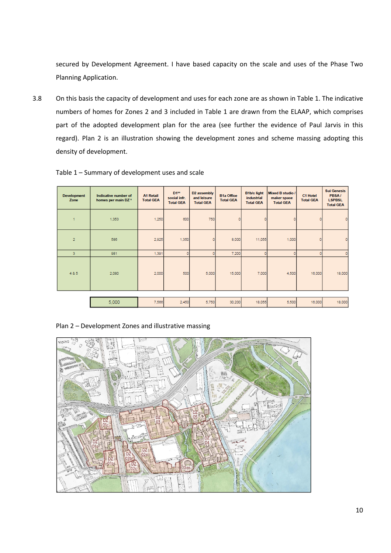secured by Development Agreement. I have based capacity on the scale and uses of the Phase Two Planning Application.

3.8 On this basis the capacity of development and uses for each zone are as shown in Table 1. The indicative numbers of homes for Zones 2 and 3 included in Table 1 are drawn from the ELAAP, which comprises part of the adopted development plan for the area (see further the evidence of Paul Jarvis in this regard). Plan 2 is an illustration showing the development zones and scheme massing adopting this density of development.

| $D1**$<br>D2 assembly<br><b>B1b/c light</b><br><b>Mixed B studio /</b><br><b>B1a Office</b><br>PBSA/<br>Indicative number of<br><b>A1 Retail</b><br>C1 Hotel<br><b>Development</b><br>and leisure<br><i>industrial</i><br>social infr.<br>maker space<br>homes per main DZ *<br><b>Total GEA</b><br><b>Total GEA</b><br><b>Total GEA</b><br><b>LSPBSL</b><br>Zone<br><b>Total GEA</b><br><b>Total GEA</b><br><b>Total GEA</b><br><b>Total GEA</b><br><b>Total GEA</b><br>600<br>750<br>1,353<br>1,250<br>$\Omega$<br>×<br>$\overline{2}$<br>586<br>2,925<br>1,350<br>8,000<br>11,055<br>1,000<br>981<br>7,200<br>3<br>1,391<br>$\circ$<br>485<br>2,080<br>500<br>5,000<br>15,000<br>16,000<br>2,000<br>7,000<br>4,500<br>5,000<br>5,750<br>30,200<br>18,055<br>2,450<br>16,000<br>7,566<br>5,500 |  |  |  |  |  |                    |
|--------------------------------------------------------------------------------------------------------------------------------------------------------------------------------------------------------------------------------------------------------------------------------------------------------------------------------------------------------------------------------------------------------------------------------------------------------------------------------------------------------------------------------------------------------------------------------------------------------------------------------------------------------------------------------------------------------------------------------------------------------------------------------------------------|--|--|--|--|--|--------------------|
|                                                                                                                                                                                                                                                                                                                                                                                                                                                                                                                                                                                                                                                                                                                                                                                                  |  |  |  |  |  | <b>Sui Genesis</b> |
|                                                                                                                                                                                                                                                                                                                                                                                                                                                                                                                                                                                                                                                                                                                                                                                                  |  |  |  |  |  | O                  |
|                                                                                                                                                                                                                                                                                                                                                                                                                                                                                                                                                                                                                                                                                                                                                                                                  |  |  |  |  |  | O                  |
|                                                                                                                                                                                                                                                                                                                                                                                                                                                                                                                                                                                                                                                                                                                                                                                                  |  |  |  |  |  | $\circ$            |
|                                                                                                                                                                                                                                                                                                                                                                                                                                                                                                                                                                                                                                                                                                                                                                                                  |  |  |  |  |  | 18,000             |
|                                                                                                                                                                                                                                                                                                                                                                                                                                                                                                                                                                                                                                                                                                                                                                                                  |  |  |  |  |  |                    |
|                                                                                                                                                                                                                                                                                                                                                                                                                                                                                                                                                                                                                                                                                                                                                                                                  |  |  |  |  |  | 18,000             |

Table 1 – Summary of development uses and scale

## Plan 2 – Development Zones and illustrative massing

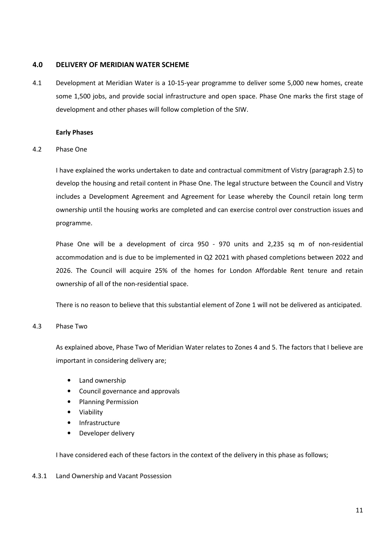## 4.0 DELIVERY OF MERIDIAN WATER SCHEME

4.1 Development at Meridian Water is a 10-15-year programme to deliver some 5,000 new homes, create some 1,500 jobs, and provide social infrastructure and open space. Phase One marks the first stage of development and other phases will follow completion of the SIW.

## Early Phases

### 4.2 Phase One

I have explained the works undertaken to date and contractual commitment of Vistry (paragraph 2.5) to develop the housing and retail content in Phase One. The legal structure between the Council and Vistry includes a Development Agreement and Agreement for Lease whereby the Council retain long term ownership until the housing works are completed and can exercise control over construction issues and programme.

Phase One will be a development of circa 950 - 970 units and 2,235 sq m of non-residential accommodation and is due to be implemented in Q2 2021 with phased completions between 2022 and 2026. The Council will acquire 25% of the homes for London Affordable Rent tenure and retain ownership of all of the non-residential space.

There is no reason to believe that this substantial element of Zone 1 will not be delivered as anticipated.

## 4.3 Phase Two

As explained above, Phase Two of Meridian Water relates to Zones 4 and 5. The factors that I believe are important in considering delivery are;

- Land ownership
- Council governance and approvals
- Planning Permission
- Viability
- Infrastructure
- Developer delivery

I have considered each of these factors in the context of the delivery in this phase as follows;

## 4.3.1 Land Ownership and Vacant Possession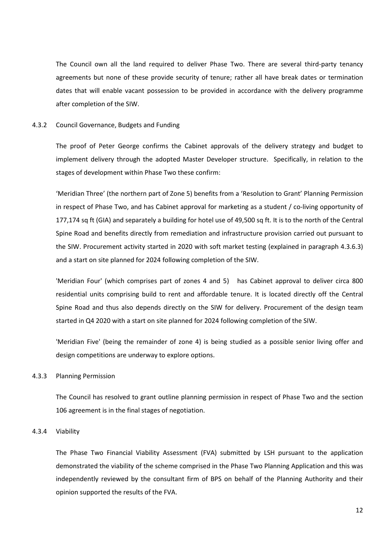The Council own all the land required to deliver Phase Two. There are several third-party tenancy agreements but none of these provide security of tenure; rather all have break dates or termination dates that will enable vacant possession to be provided in accordance with the delivery programme after completion of the SIW.

#### 4.3.2 Council Governance, Budgets and Funding

The proof of Peter George confirms the Cabinet approvals of the delivery strategy and budget to implement delivery through the adopted Master Developer structure. Specifically, in relation to the stages of development within Phase Two these confirm:

'Meridian Three' (the northern part of Zone 5) benefits from a 'Resolution to Grant' Planning Permission in respect of Phase Two, and has Cabinet approval for marketing as a student / co-living opportunity of 177,174 sq ft (GIA) and separately a building for hotel use of 49,500 sq ft. It is to the north of the Central Spine Road and benefits directly from remediation and infrastructure provision carried out pursuant to the SIW. Procurement activity started in 2020 with soft market testing (explained in paragraph 4.3.6.3) and a start on site planned for 2024 following completion of the SIW.

'Meridian Four' (which comprises part of zones 4 and 5) has Cabinet approval to deliver circa 800 residential units comprising build to rent and affordable tenure. It is located directly off the Central Spine Road and thus also depends directly on the SIW for delivery. Procurement of the design team started in Q4 2020 with a start on site planned for 2024 following completion of the SIW.

'Meridian Five' (being the remainder of zone 4) is being studied as a possible senior living offer and design competitions are underway to explore options.

### 4.3.3 Planning Permission

The Council has resolved to grant outline planning permission in respect of Phase Two and the section 106 agreement is in the final stages of negotiation.

#### 4.3.4 Viability

The Phase Two Financial Viability Assessment (FVA) submitted by LSH pursuant to the application demonstrated the viability of the scheme comprised in the Phase Two Planning Application and this was independently reviewed by the consultant firm of BPS on behalf of the Planning Authority and their opinion supported the results of the FVA.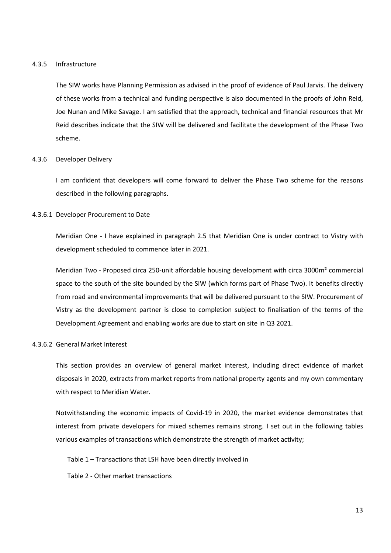#### 4.3.5 Infrastructure

The SIW works have Planning Permission as advised in the proof of evidence of Paul Jarvis. The delivery of these works from a technical and funding perspective is also documented in the proofs of John Reid, Joe Nunan and Mike Savage. I am satisfied that the approach, technical and financial resources that Mr Reid describes indicate that the SIW will be delivered and facilitate the development of the Phase Two scheme.

#### 4.3.6 Developer Delivery

I am confident that developers will come forward to deliver the Phase Two scheme for the reasons described in the following paragraphs.

#### 4.3.6.1 Developer Procurement to Date

Meridian One - I have explained in paragraph 2.5 that Meridian One is under contract to Vistry with development scheduled to commence later in 2021.

Meridian Two - Proposed circa 250-unit affordable housing development with circa 3000m<sup>2</sup> commercial space to the south of the site bounded by the SIW (which forms part of Phase Two). It benefits directly from road and environmental improvements that will be delivered pursuant to the SIW. Procurement of Vistry as the development partner is close to completion subject to finalisation of the terms of the Development Agreement and enabling works are due to start on site in Q3 2021.

### 4.3.6.2 General Market Interest

This section provides an overview of general market interest, including direct evidence of market disposals in 2020, extracts from market reports from national property agents and my own commentary with respect to Meridian Water.

Notwithstanding the economic impacts of Covid-19 in 2020, the market evidence demonstrates that interest from private developers for mixed schemes remains strong. I set out in the following tables various examples of transactions which demonstrate the strength of market activity;

Table 1 – Transactions that LSH have been directly involved in

Table 2 - Other market transactions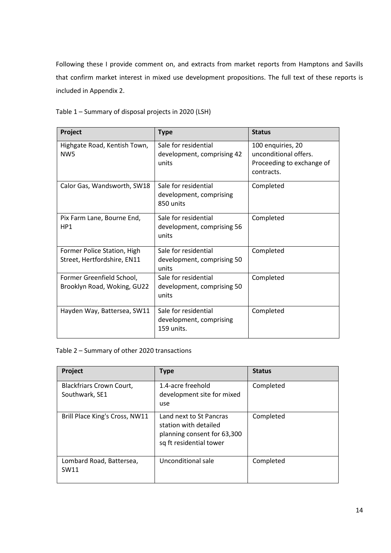Following these I provide comment on, and extracts from market reports from Hamptons and Savills that confirm market interest in mixed use development propositions. The full text of these reports is included in Appendix 2.

| Table 1 - Summary of disposal projects in 2020 (LSH) |  |
|------------------------------------------------------|--|
|------------------------------------------------------|--|

| Project                                                    | <b>Type</b>                                                   | <b>Status</b>                                                                         |
|------------------------------------------------------------|---------------------------------------------------------------|---------------------------------------------------------------------------------------|
| Highgate Road, Kentish Town,<br>NW <sub>5</sub>            | Sale for residential<br>development, comprising 42<br>units   | 100 enquiries, 20<br>unconditional offers.<br>Proceeding to exchange of<br>contracts. |
| Calor Gas, Wandsworth, SW18                                | Sale for residential<br>development, comprising<br>850 units  | Completed                                                                             |
| Pix Farm Lane, Bourne End,<br>HP <sub>1</sub>              | Sale for residential<br>development, comprising 56<br>units   | Completed                                                                             |
| Former Police Station, High<br>Street, Hertfordshire, EN11 | Sale for residential<br>development, comprising 50<br>units   | Completed                                                                             |
| Former Greenfield School,<br>Brooklyn Road, Woking, GU22   | Sale for residential<br>development, comprising 50<br>units   | Completed                                                                             |
| Hayden Way, Battersea, SW11                                | Sale for residential<br>development, comprising<br>159 units. | Completed                                                                             |

Table 2 – Summary of other 2020 transactions

| Project                                           | <b>Type</b>                                                                                                | <b>Status</b> |
|---------------------------------------------------|------------------------------------------------------------------------------------------------------------|---------------|
| <b>Blackfriars Crown Court,</b><br>Southwark, SE1 | 1.4-acre freehold<br>development site for mixed<br>use                                                     | Completed     |
| Brill Place King's Cross, NW11                    | Land next to St Pancras<br>station with detailed<br>planning consent for 63,300<br>sq ft residential tower | Completed     |
| Lombard Road, Battersea,<br>SW11                  | Unconditional sale                                                                                         | Completed     |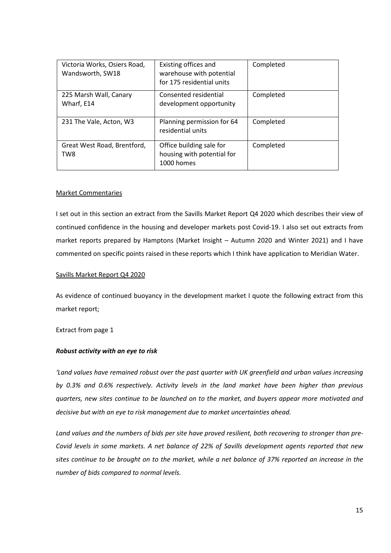| Victoria Works, Osiers Road,<br>Wandsworth, SW18 | Existing offices and<br>warehouse with potential<br>for 175 residential units | Completed |
|--------------------------------------------------|-------------------------------------------------------------------------------|-----------|
| 225 Marsh Wall, Canary<br>Wharf, E14             | Consented residential<br>development opportunity                              | Completed |
| 231 The Vale, Acton, W3                          | Planning permission for 64<br>residential units                               | Completed |
| Great West Road, Brentford,<br>TW8               | Office building sale for<br>housing with potential for<br>1000 homes          | Completed |

### Market Commentaries

I set out in this section an extract from the Savills Market Report Q4 2020 which describes their view of continued confidence in the housing and developer markets post Covid-19. I also set out extracts from market reports prepared by Hamptons (Market Insight – Autumn 2020 and Winter 2021) and I have commented on specific points raised in these reports which I think have application to Meridian Water.

#### Savills Market Report Q4 2020

As evidence of continued buoyancy in the development market I quote the following extract from this market report;

### Extract from page 1

#### Robust activity with an eye to risk

'Land values have remained robust over the past quarter with UK greenfield and urban values increasing by 0.3% and 0.6% respectively. Activity levels in the land market have been higher than previous quarters, new sites continue to be launched on to the market, and buyers appear more motivated and decisive but with an eye to risk management due to market uncertainties ahead.

Land values and the numbers of bids per site have proved resilient, both recovering to stronger than pre-Covid levels in some markets. A net balance of 22% of Savills development agents reported that new sites continue to be brought on to the market, while a net balance of 37% reported an increase in the number of bids compared to normal levels.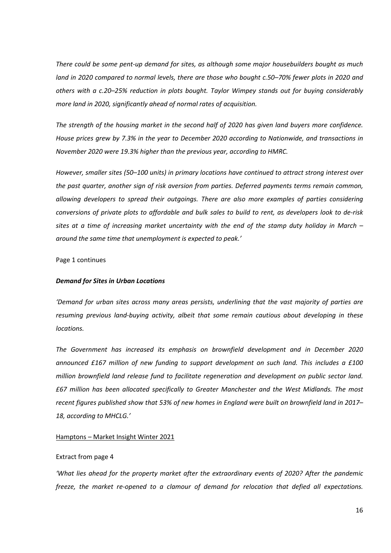There could be some pent-up demand for sites, as although some major housebuilders bought as much land in 2020 compared to normal levels, there are those who bought c.50–70% fewer plots in 2020 and others with a c.20–25% reduction in plots bought. Taylor Wimpey stands out for buying considerably more land in 2020, significantly ahead of normal rates of acquisition.

The strength of the housing market in the second half of 2020 has given land buyers more confidence. House prices grew by 7.3% in the year to December 2020 according to Nationwide, and transactions in November 2020 were 19.3% higher than the previous year, according to HMRC.

However, smaller sites (50–100 units) in primary locations have continued to attract strong interest over the past quarter, another sign of risk aversion from parties. Deferred payments terms remain common, allowing developers to spread their outgoings. There are also more examples of parties considering conversions of private plots to affordable and bulk sales to build to rent, as developers look to de-risk sites at a time of increasing market uncertainty with the end of the stamp duty holiday in March – around the same time that unemployment is expected to peak.'

#### Page 1 continues

#### Demand for Sites in Urban Locations

'Demand for urban sites across many areas persists, underlining that the vast majority of parties are resuming previous land-buying activity, albeit that some remain cautious about developing in these locations.

The Government has increased its emphasis on brownfield development and in December 2020 announced £167 million of new funding to support development on such land. This includes a £100 million brownfield land release fund to facilitate regeneration and development on public sector land. £67 million has been allocated specifically to Greater Manchester and the West Midlands. The most recent figures published show that 53% of new homes in England were built on brownfield land in 2017– 18, according to MHCLG.'

#### Hamptons – Market Insight Winter 2021

#### Extract from page 4

'What lies ahead for the property market after the extraordinary events of 2020? After the pandemic freeze, the market re-opened to a clamour of demand for relocation that defied all expectations.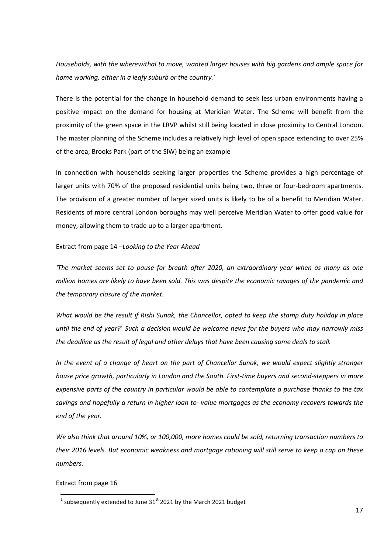Households, with the wherewithal to move, wanted larger houses with big gardens and ample space for home working, either in a leafy suburb or the country.'

There is the potential for the change in household demand to seek less urban environments having a positive impact on the demand for housing at Meridian Water. The Scheme will benefit from the proximity of the green space in the LRVP whilst still being located in close proximity to Central London. The master planning of the Scheme includes a relatively high level of open space extending to over 25% of the area; Brooks Park (part of the SIW) being an example

In connection with households seeking larger properties the Scheme provides a high percentage of larger units with 70% of the proposed residential units being two, three or four-bedroom apartments. The provision of a greater number of larger sized units is likely to be of a benefit to Meridian Water. Residents of more central London boroughs may well perceive Meridian Water to offer good value for money, allowing them to trade up to a larger apartment.

#### Extract from page 14 –Looking to the Year Ahead

'The market seems set to pause for breath after 2020, an extraordinary year when as many as one million homes are likely to have been sold. This was despite the economic ravages of the pandemic and the temporary closure of the market.

What would be the result if Rishi Sunak, the Chancellor, opted to keep the stamp duty holiday in place until the end of year?<sup>1</sup> Such a decision would be welcome news for the buyers who may narrowly miss the deadline as the result of legal and other delays that have been causing some deals to stall.

In the event of a change of heart on the part of Chancellor Sunak, we would expect slightly stronger house price growth, particularly in London and the South. First-time buyers and second-steppers in more expensive parts of the country in particular would be able to contemplate a purchase thanks to the tax savings and hopefully a return in higher loan to- value mortgages as the economy recovers towards the end of the year.

We also think that around 10%, or 100,000, more homes could be sold, returning transaction numbers to their 2016 levels. But economic weakness and mortgage rationing will still serve to keep a cap on these numbers.

#### Extract from page 16

l

<sup>&</sup>lt;sup>1</sup> subsequently extended to June 31<sup>st</sup> 2021 by the March 2021 budget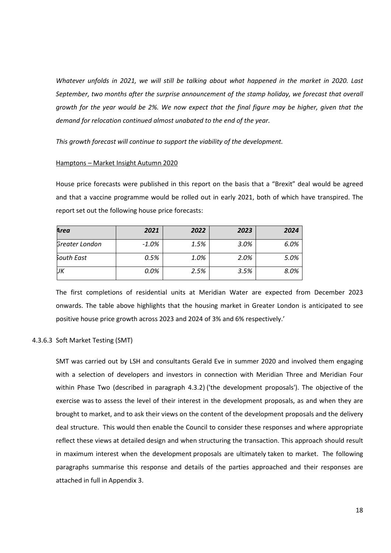Whatever unfolds in 2021, we will still be talking about what happened in the market in 2020. Last September, two months after the surprise announcement of the stamp holiday, we forecast that overall growth for the year would be 2%. We now expect that the final figure may be higher, given that the demand for relocation continued almost unabated to the end of the year.

This growth forecast will continue to support the viability of the development.

#### Hamptons – Market Insight Autumn 2020

House price forecasts were published in this report on the basis that a "Brexit" deal would be agreed and that a vaccine programme would be rolled out in early 2021, both of which have transpired. The report set out the following house price forecasts:

| Area           | 2021     | 2022 | 2023 | 2024 |
|----------------|----------|------|------|------|
| Greater London | $-1.0\%$ | 1.5% | 3.0% | 6.0% |
| South East     | 0.5%     | 1.0% | 2.0% | 5.0% |
| IJΚ            | $0.0\%$  | 2.5% | 3.5% | 8.0% |

The first completions of residential units at Meridian Water are expected from December 2023 onwards. The table above highlights that the housing market in Greater London is anticipated to see positive house price growth across 2023 and 2024 of 3% and 6% respectively.'

### 4.3.6.3 Soft Market Testing (SMT)

SMT was carried out by LSH and consultants Gerald Eve in summer 2020 and involved them engaging with a selection of developers and investors in connection with Meridian Three and Meridian Four within Phase Two (described in paragraph 4.3.2) ('the development proposals'). The objective of the exercise was to assess the level of their interest in the development proposals, as and when they are brought to market, and to ask their views on the content of the development proposals and the delivery deal structure. This would then enable the Council to consider these responses and where appropriate reflect these views at detailed design and when structuring the transaction. This approach should result in maximum interest when the development proposals are ultimately taken to market. The following paragraphs summarise this response and details of the parties approached and their responses are attached in full in Appendix 3.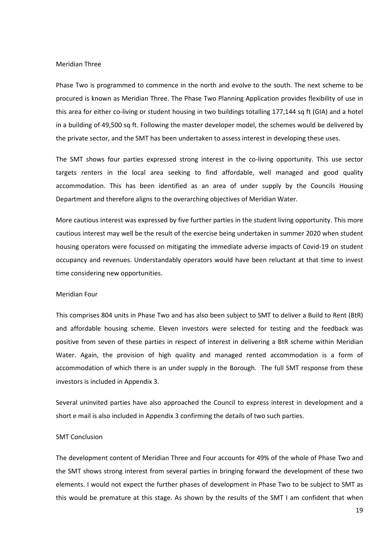#### Meridian Three

Phase Two is programmed to commence in the north and evolve to the south. The next scheme to be procured is known as Meridian Three. The Phase Two Planning Application provides flexibility of use in this area for either co-living or student housing in two buildings totalling 177,144 sq ft (GIA) and a hotel in a building of 49,500 sq ft. Following the master developer model, the schemes would be delivered by the private sector, and the SMT has been undertaken to assess interest in developing these uses.

The SMT shows four parties expressed strong interest in the co-living opportunity. This use sector targets renters in the local area seeking to find affordable, well managed and good quality accommodation. This has been identified as an area of under supply by the Councils Housing Department and therefore aligns to the overarching objectives of Meridian Water.

More cautious interest was expressed by five further parties in the student living opportunity. This more cautious interest may well be the result of the exercise being undertaken in summer 2020 when student housing operators were focussed on mitigating the immediate adverse impacts of Covid-19 on student occupancy and revenues. Understandably operators would have been reluctant at that time to invest time considering new opportunities.

#### Meridian Four

This comprises 804 units in Phase Two and has also been subject to SMT to deliver a Build to Rent (BtR) and affordable housing scheme. Eleven investors were selected for testing and the feedback was positive from seven of these parties in respect of interest in delivering a BtR scheme within Meridian Water. Again, the provision of high quality and managed rented accommodation is a form of accommodation of which there is an under supply in the Borough. The full SMT response from these investors is included in Appendix 3.

Several uninvited parties have also approached the Council to express interest in development and a short e mail is also included in Appendix 3 confirming the details of two such parties.

#### SMT Conclusion

The development content of Meridian Three and Four accounts for 49% of the whole of Phase Two and the SMT shows strong interest from several parties in bringing forward the development of these two elements. I would not expect the further phases of development in Phase Two to be subject to SMT as this would be premature at this stage. As shown by the results of the SMT I am confident that when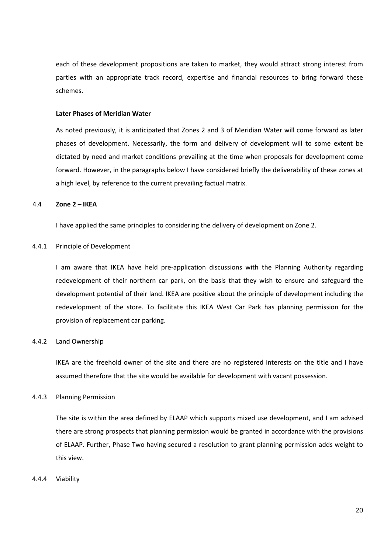each of these development propositions are taken to market, they would attract strong interest from parties with an appropriate track record, expertise and financial resources to bring forward these schemes.

## Later Phases of Meridian Water

As noted previously, it is anticipated that Zones 2 and 3 of Meridian Water will come forward as later phases of development. Necessarily, the form and delivery of development will to some extent be dictated by need and market conditions prevailing at the time when proposals for development come forward. However, in the paragraphs below I have considered briefly the deliverability of these zones at a high level, by reference to the current prevailing factual matrix.

#### 4.4 Zone 2 – IKEA

I have applied the same principles to considering the delivery of development on Zone 2.

#### 4.4.1 Principle of Development

I am aware that IKEA have held pre-application discussions with the Planning Authority regarding redevelopment of their northern car park, on the basis that they wish to ensure and safeguard the development potential of their land. IKEA are positive about the principle of development including the redevelopment of the store. To facilitate this IKEA West Car Park has planning permission for the provision of replacement car parking.

#### 4.4.2 Land Ownership

IKEA are the freehold owner of the site and there are no registered interests on the title and I have assumed therefore that the site would be available for development with vacant possession.

#### 4.4.3 Planning Permission

The site is within the area defined by ELAAP which supports mixed use development, and I am advised there are strong prospects that planning permission would be granted in accordance with the provisions of ELAAP. Further, Phase Two having secured a resolution to grant planning permission adds weight to this view.

#### 4.4.4 Viability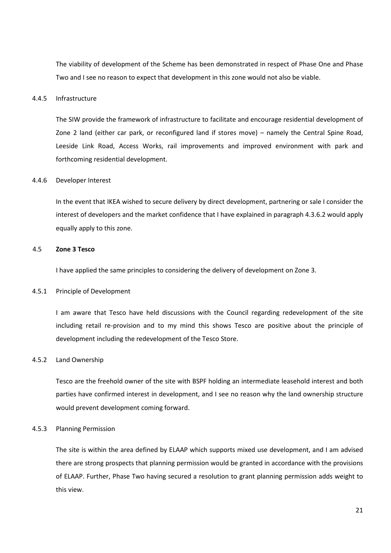The viability of development of the Scheme has been demonstrated in respect of Phase One and Phase Two and I see no reason to expect that development in this zone would not also be viable.

### 4.4.5 Infrastructure

The SIW provide the framework of infrastructure to facilitate and encourage residential development of Zone 2 land (either car park, or reconfigured land if stores move) – namely the Central Spine Road, Leeside Link Road, Access Works, rail improvements and improved environment with park and forthcoming residential development.

#### 4.4.6 Developer Interest

In the event that IKEA wished to secure delivery by direct development, partnering or sale I consider the interest of developers and the market confidence that I have explained in paragraph 4.3.6.2 would apply equally apply to this zone.

### 4.5 Zone 3 Tesco

I have applied the same principles to considering the delivery of development on Zone 3.

#### 4.5.1 Principle of Development

I am aware that Tesco have held discussions with the Council regarding redevelopment of the site including retail re-provision and to my mind this shows Tesco are positive about the principle of development including the redevelopment of the Tesco Store.

### 4.5.2 Land Ownership

Tesco are the freehold owner of the site with BSPF holding an intermediate leasehold interest and both parties have confirmed interest in development, and I see no reason why the land ownership structure would prevent development coming forward.

#### 4.5.3 Planning Permission

The site is within the area defined by ELAAP which supports mixed use development, and I am advised there are strong prospects that planning permission would be granted in accordance with the provisions of ELAAP. Further, Phase Two having secured a resolution to grant planning permission adds weight to this view.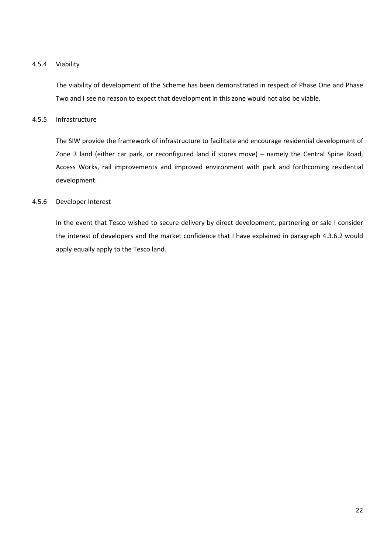## 4.5.4 Viability

The viability of development of the Scheme has been demonstrated in respect of Phase One and Phase Two and I see no reason to expect that development in this zone would not also be viable.

### 4.5.5 Infrastructure

The SIW provide the framework of infrastructure to facilitate and encourage residential development of Zone 3 land (either car park, or reconfigured land if stores move) – namely the Central Spine Road, Access Works, rail improvements and improved environment with park and forthcoming residential development.

## 4.5.6 Developer Interest

In the event that Tesco wished to secure delivery by direct development, partnering or sale I consider the interest of developers and the market confidence that I have explained in paragraph 4.3.6.2 would apply equally apply to the Tesco land.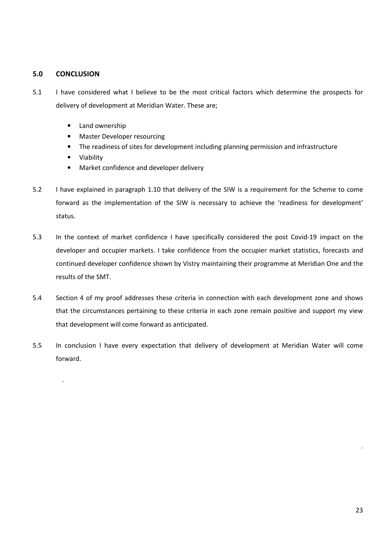## 5.0 CONCLUSION

.

- 5.1 I have considered what I believe to be the most critical factors which determine the prospects for delivery of development at Meridian Water. These are;
	- Land ownership
	- Master Developer resourcing
	- The readiness of sites for development including planning permission and infrastructure
	- Viability
	- Market confidence and developer delivery
- 5.2 I have explained in paragraph 1.10 that delivery of the SIW is a requirement for the Scheme to come forward as the implementation of the SIW is necessary to achieve the 'readiness for development' status.
- 5.3 In the context of market confidence I have specifically considered the post Covid-19 impact on the developer and occupier markets. I take confidence from the occupier market statistics, forecasts and continued developer confidence shown by Vistry maintaining their programme at Meridian One and the results of the SMT.
- 5.4 Section 4 of my proof addresses these criteria in connection with each development zone and shows that the circumstances pertaining to these criteria in each zone remain positive and support my view that development will come forward as anticipated.
- 5.5 In conclusion I have every expectation that delivery of development at Meridian Water will come forward.

.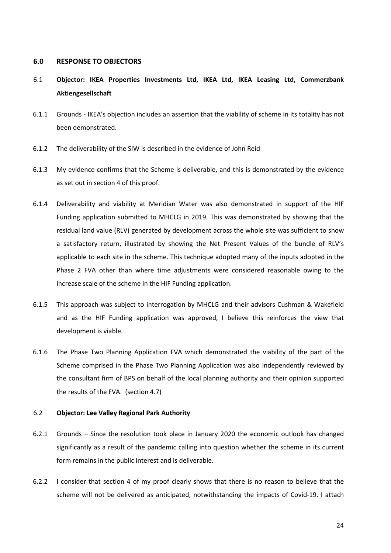#### 6.0 RESPONSE TO OBJECTORS

- 6.1 Objector: IKEA Properties Investments Ltd, IKEA Ltd, IKEA Leasing Ltd, Commerzbank Aktiengesellschaft
- 6.1.1 Grounds IKEA's objection includes an assertion that the viability of scheme in its totality has not been demonstrated.
- 6.1.2 The deliverability of the SIW is described in the evidence of John Reid
- 6.1.3 My evidence confirms that the Scheme is deliverable, and this is demonstrated by the evidence as set out in section 4 of this proof.
- 6.1.4 Deliverability and viability at Meridian Water was also demonstrated in support of the HIF Funding application submitted to MHCLG in 2019. This was demonstrated by showing that the residual land value (RLV) generated by development across the whole site was sufficient to show a satisfactory return, illustrated by showing the Net Present Values of the bundle of RLV's applicable to each site in the scheme. This technique adopted many of the inputs adopted in the Phase 2 FVA other than where time adjustments were considered reasonable owing to the increase scale of the scheme in the HIF Funding application.
- 6.1.5 This approach was subject to interrogation by MHCLG and their advisors Cushman & Wakefield and as the HIF Funding application was approved, I believe this reinforces the view that development is viable.
- 6.1.6 The Phase Two Planning Application FVA which demonstrated the viability of the part of the Scheme comprised in the Phase Two Planning Application was also independently reviewed by the consultant firm of BPS on behalf of the local planning authority and their opinion supported the results of the FVA. (section 4.7)

### 6.2 Objector: Lee Valley Regional Park Authority

- 6.2.1 Grounds Since the resolution took place in January 2020 the economic outlook has changed significantly as a result of the pandemic calling into question whether the scheme in its current form remains in the public interest and is deliverable.
- 6.2.2 I consider that section 4 of my proof clearly shows that there is no reason to believe that the scheme will not be delivered as anticipated, notwithstanding the impacts of Covid-19. I attach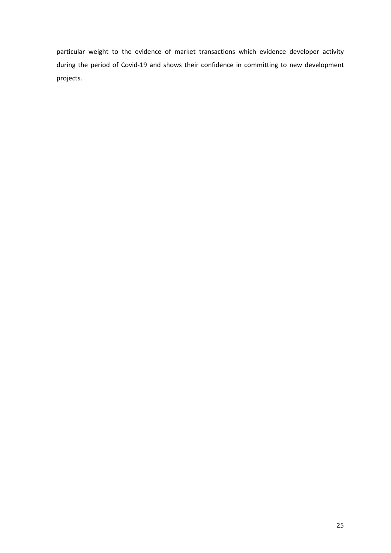particular weight to the evidence of market transactions which evidence developer activity during the period of Covid-19 and shows their confidence in committing to new development projects.